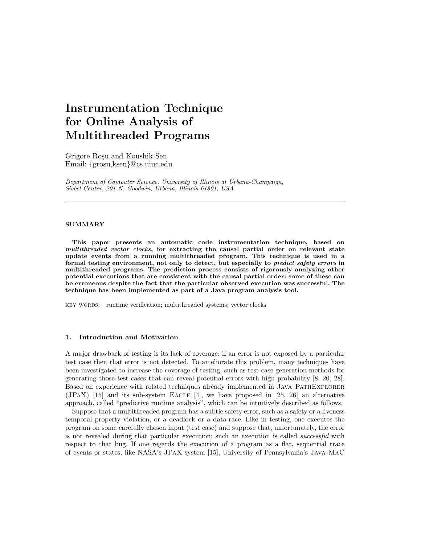# Instrumentation Technique for Online Analysis of Multithreaded Programs

Grigore Rosu and Koushik Sen Email: {grosu,ksen}@cs.uiuc.edu

Department of Computer Science, University of Illinois at Urbana-Champaign, Siebel Center, 201 N. Goodwin, Urbana, Illinois 61801, USA

#### SUMMARY

This paper presents an automatic code instrumentation technique, based on multithreaded vector clocks, for extracting the causal partial order on relevant state update events from a running multithreaded program. This technique is used in a formal testing environment, not only to detect, but especially to predict safety errors in multithreaded programs. The prediction process consists of rigorously analyzing other potential executions that are consistent with the causal partial order: some of these can be erroneous despite the fact that the particular observed execution was successful. The technique has been implemented as part of a Java program analysis tool.

KEY WORDS: runtime verification; multithreaded systems; vector clocks

#### 1. Introduction and Motivation

A major drawback of testing is its lack of coverage: if an error is not exposed by a particular test case then that error is not detected. To ameliorate this problem, many techniques have been investigated to increase the coverage of testing, such as test-case generation methods for generating those test cases that can reveal potential errors with high probability [8, 20, 28]. Based on experience with related techniques already implemented in Java PathExplorer  $(JPAX)$  [15] and its sub-system EAGLE [4], we have proposed in [25, 26] an alternative approach, called "predictive runtime analysis", which can be intuitively described as follows.

Suppose that a multithreaded program has a subtle safety error, such as a safety or a liveness temporal property violation, or a deadlock or a data-race. Like in testing, one executes the program on some carefully chosen input (test case) and suppose that, unfortunately, the error is not revealed during that particular execution; such an execution is called *successful* with respect to that bug. If one regards the execution of a program as a flat, sequential trace of events or states, like NASA's JPaX system [15], University of Pennsylvania's Java-MaC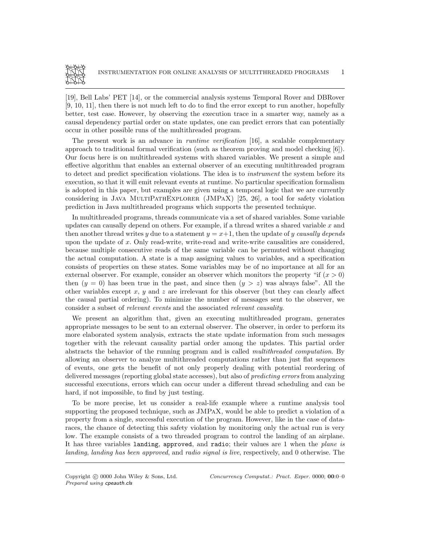

[19], Bell Labs' PET [14], or the commercial analysis systems Temporal Rover and DBRover [9, 10, 11], then there is not much left to do to find the error except to run another, hopefully better, test case. However, by observing the execution trace in a smarter way, namely as a causal dependency partial order on state updates, one can predict errors that can potentially occur in other possible runs of the multithreaded program.

The present work is an advance in *runtime verification* [16], a scalable complementary approach to traditional formal verification (such as theorem proving and model checking [6]). Our focus here is on multithreaded systems with shared variables. We present a simple and effective algorithm that enables an external observer of an executing multithreaded program to detect and predict specification violations. The idea is to *instrument* the system before its execution, so that it will emit relevant events at runtime. No particular specification formalism is adopted in this paper, but examples are given using a temporal logic that we are currently considering in Java MultiPathExplorer (JMPaX) [25, 26], a tool for safety violation prediction in Java multithreaded programs which supports the presented technique.

In multithreaded programs, threads communicate via a set of shared variables. Some variable updates can causally depend on others. For example, if a thread writes a shared variable  $x$  and then another thread writes y due to a statement  $y = x+1$ , then the update of y causally depends upon the update of x. Only read-write, write-read and write-write causalities are considered, because multiple consecutive reads of the same variable can be permuted without changing the actual computation. A state is a map assigning values to variables, and a specification consists of properties on these states. Some variables may be of no importance at all for an external observer. For example, consider an observer which monitors the property "if  $(x > 0)$ " then  $(y = 0)$  has been true in the past, and since then  $(y > z)$  was always false". All the other variables except  $x, y$  and  $z$  are irrelevant for this observer (but they can clearly affect the causal partial ordering). To minimize the number of messages sent to the observer, we consider a subset of relevant events and the associated relevant causality.

We present an algorithm that, given an executing multithreaded program, generates appropriate messages to be sent to an external observer. The observer, in order to perform its more elaborated system analysis, extracts the state update information from such messages together with the relevant causality partial order among the updates. This partial order abstracts the behavior of the running program and is called multithreaded computation. By allowing an observer to analyze multithreaded computations rather than just flat sequences of events, one gets the benefit of not only properly dealing with potential reordering of delivered messages (reporting global state accesses), but also of predicting errors from analyzing successful executions, errors which can occur under a different thread scheduling and can be hard, if not impossible, to find by just testing.

To be more precise, let us consider a real-life example where a runtime analysis tool supporting the proposed technique, such as JMPaX, would be able to predict a violation of a property from a single, successful execution of the program. However, like in the case of dataraces, the chance of detecting this safety violation by monitoring only the actual run is very low. The example consists of a two threaded program to control the landing of an airplane. It has three variables landing, approved, and radio; their values are 1 when the plane is landing, landing has been approved, and radio signal is live, respectively, and 0 otherwise. The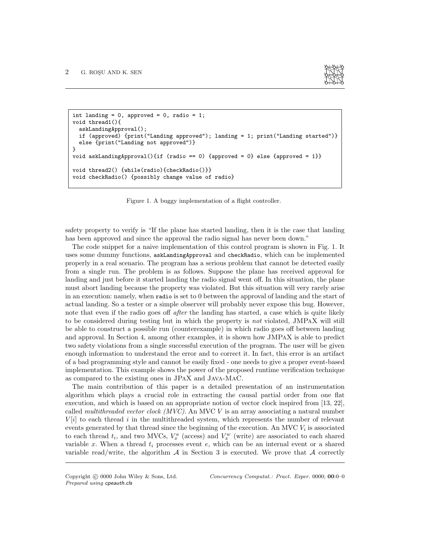

```
int landing = 0, approved = 0, radio = 1;
void thread1(){
  askLandingApproval();
  if (approved) {print("Landing approved"); landing = 1; print("Landing started")}
  else {print("Landing not approved")}
}
void askLandingApproval(){if (radio == 0) {approved = 0} else {approved = 1}}
void thread2() {while(radio){checkRadio()}}
void checkRadio() {possibly change value of radio}
```
Figure 1. A buggy implementation of a flight controller.

safety property to verify is "If the plane has started landing, then it is the case that landing has been approved and since the approval the radio signal has never been down."

The code snippet for a naive implementation of this control program is shown in Fig. 1. It uses some dummy functions, askLandingApproval and checkRadio, which can be implemented properly in a real scenario. The program has a serious problem that cannot be detected easily from a single run. The problem is as follows. Suppose the plane has received approval for landing and just before it started landing the radio signal went off. In this situation, the plane must abort landing because the property was violated. But this situation will very rarely arise in an execution: namely, when radio is set to 0 between the approval of landing and the start of actual landing. So a tester or a simple observer will probably never expose this bug. However, note that even if the radio goes off *after* the landing has started, a case which is quite likely to be considered during testing but in which the property is not violated, JMPaX will still be able to construct a possible run (counterexample) in which radio goes off between landing and approval. In Section 4, among other examples, it is shown how JMPaX is able to predict two safety violations from a single successful execution of the program. The user will be given enough information to understand the error and to correct it. In fact, this error is an artifact of a bad programming style and cannot be easily fixed - one needs to give a proper event-based implementation. This example shows the power of the proposed runtime verification technique as compared to the existing ones in JPaX and Java-MaC.

The main contribution of this paper is a detailed presentation of an instrumentation algorithm which plays a crucial role in extracting the causal partial order from one flat execution, and which is based on an appropriate notion of vector clock inspired from [13, 22], called *multithreaded vector clock (MVC)*. An MVC  $V$  is an array associating a natural number  $V[i]$  to each thread i in the multithreaded system, which represents the number of relevant events generated by that thread since the beginning of the execution. An MVC  $V_i$  is associated to each thread  $t_i$ , and two MVCs,  $V_x^a$  (access) and  $V_x^w$  (write) are associated to each shared variable x. When a thread  $t_i$  processes event e, which can be an internal event or a shared variable read/write, the algorithm  $A$  in Section 3 is executed. We prove that  $A$  correctly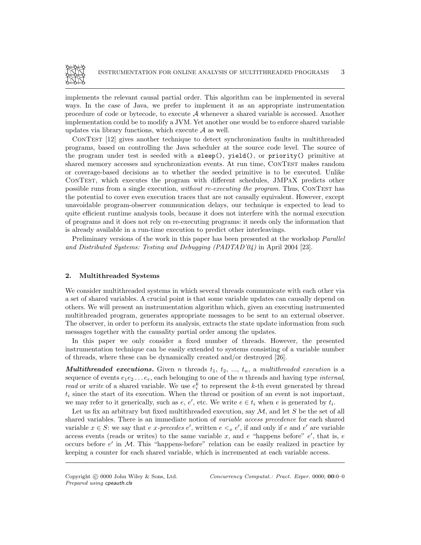

implements the relevant causal partial order. This algorithm can be implemented in several ways. In the case of Java, we prefer to implement it as an appropriate instrumentation procedure of code or bytecode, to execute A whenever a shared variable is accessed. Another implementation could be to modify a JVM. Yet another one would be to enforce shared variable updates via library functions, which execute  $A$  as well.

ConTest [12] gives another technique to detect synchronization faults in multithreaded programs, based on controlling the Java scheduler at the source code level. The source of the program under test is seeded with a sleep(), yield(), or priority() primitive at shared memory accesses and synchronization events. At run time, CONTEST makes random or coverage-based decisions as to whether the seeded primitive is to be executed. Unlike ConTest, which executes the program with different schedules, JMPaX predicts other possible runs from a single execution, *without re-executing the program*. Thus, CONTEST has the potential to cover even execution traces that are not causally equivalent. However, except unavoidable program-observer communication delays, our technique is expected to lead to quite efficient runtime analysis tools, because it does not interfere with the normal execution of programs and it does not rely on re-executing programs: it needs only the information that is already available in a run-time execution to predict other interleavings.

Preliminary versions of the work in this paper has been presented at the workshop Parallel and Distributed Systems: Testing and Debugging (PADTAD'04) in April 2004 [23].

## 2. Multithreaded Systems

We consider multithreaded systems in which several threads communicate with each other via a set of shared variables. A crucial point is that some variable updates can causally depend on others. We will present an instrumentation algorithm which, given an executing instrumented multithreaded program, generates appropriate messages to be sent to an external observer. The observer, in order to perform its analysis, extracts the state update information from such messages together with the causality partial order among the updates.

In this paper we only consider a fixed number of threads. However, the presented instrumentation technique can be easily extended to systems consisting of a variable number of threads, where these can be dynamically created and/or destroyed [26].

**Multithreaded executions.** Given n threads  $t_1$ ,  $t_2$ , ...,  $t_n$ , a multithreaded execution is a sequence of events  $e_1e_2 \ldots e_r$ , each belonging to one of the *n* threads and having type *internal*, *read* or *write* of a shared variable. We use  $e_i^k$  to represent the k-th event generated by thread  $t_i$  since the start of its execution. When the thread or position of an event is not important, we may refer to it generically, such as  $e, e',$  etc. We write  $e \in t_i$  when e is generated by  $t_i$ .

Let us fix an arbitrary but fixed multithreaded execution, say  $M$ , and let S be the set of all shared variables. There is an immediate notion of variable access precedence for each shared variable  $x \in S$ : we say that e x-precedes e', written  $e \leq_x e'$ , if and only if e and e' are variable access events (reads or writes) to the same variable x, and  $e$  "happens before"  $e'$ , that is,  $e$ occurs before  $e'$  in M. This "happens-before" relation can be easily realized in practice by keeping a counter for each shared variable, which is incremented at each variable access.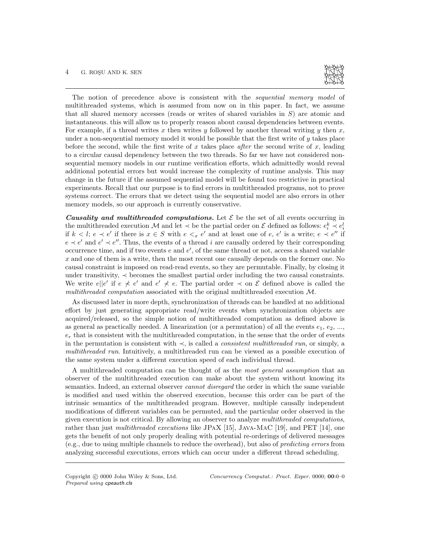

The notion of precedence above is consistent with the *sequential memory model* of multithreaded systems, which is assumed from now on in this paper. In fact, we assume that all shared memory accesses (reads or writes of shared variables in  $S$ ) are atomic and instantaneous. this will allow us to properly reason about causal dependencies between events. For example, if a thread writes x then writes y followed by another thread writing y then x, under a non-sequential memory model it would be possible that the first write of y takes place before the second, while the first write of x takes place after the second write of x, leading to a circular causal dependency between the two threads. So far we have not considered nonsequential memory models in our runtime verification efforts, which admittedly would reveal additional potential errors but would increase the complexity of runtime analysis. This may change in the future if the assumed sequential model will be found too restrictive in practical experiments. Recall that our purpose is to find errors in multithreaded programs, not to prove systems correct. The errors that we detect using the sequential model are also errors in other memory models, so our approach is currently conservative.

**Causality and multithreaded computations.** Let  $\mathcal{E}$  be the set of all events occurring in the multithreaded execution M and let  $\prec$  be the partial order on E defined as follows:  $e_i^k \prec e_i^l$ if  $k < l$ ;  $e \prec e'$  if there is  $x \in S$  with  $e \prec_x e'$  and at least one of  $e, e'$  is a write;  $e \prec e''$  if  $e \prec e'$  and  $e' \prec e''$ . Thus, the events of a thread i are causally ordered by their corresponding occurrence time, and if two events  $e$  and  $e'$ , of the same thread or not, access a shared variable x and one of them is a write, then the most recent one causally depends on the former one. No causal constraint is imposed on read-read events, so they are permutable. Finally, by closing it under transitivity,  $\prec$  becomes the smallest partial order including the two causal constraints. We write  $e||e'$  if  $e \nless e'$  and  $e' \nless e$ . The partial order  $\prec$  on  $\mathcal E$  defined above is called the multithreaded computation associated with the original multithreaded execution  $M$ .

As discussed later in more depth, synchronization of threads can be handled at no additional effort by just generating appropriate read/write events when synchronization objects are acquired/released, so the simple notion of multithreaded computation as defined above is as general as practically needed. A linearization (or a permutation) of all the events  $e_1, e_2, ...,$  $e<sub>r</sub>$  that is consistent with the multithreaded computation, in the sense that the order of events in the permutation is consistent with  $\prec$ , is called a *consistent multithreaded run*, or simply, a multithreaded run. Intuitively, a multithreaded run can be viewed as a possible execution of the same system under a different execution speed of each individual thread.

A multithreaded computation can be thought of as the most general assumption that an observer of the multithreaded execution can make about the system without knowing its semantics. Indeed, an external observer *cannot disregard* the order in which the same variable is modified and used within the observed execution, because this order can be part of the intrinsic semantics of the multithreaded program. However, multiple causally independent modifications of different variables can be permuted, and the particular order observed in the given execution is not critical. By allowing an observer to analyze multithreaded computations, rather than just multithreaded executions like JPaX [15], Java-MaC [19], and PET [14], one gets the benefit of not only properly dealing with potential re-orderings of delivered messages (e.g., due to using multiple channels to reduce the overhead), but also of predicting errors from analyzing successful executions, errors which can occur under a different thread scheduling.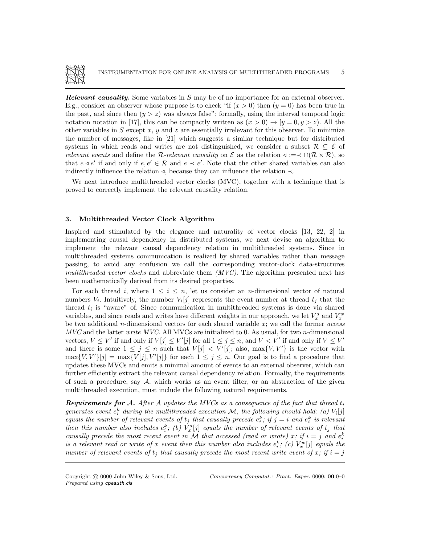

**Relevant causality.** Some variables in S may be of no importance for an external observer. E.g., consider an observer whose purpose is to check "if  $(x > 0)$  then  $(y = 0)$  has been true in the past, and since then  $(y > z)$  was always false"; formally, using the interval temporal logic notation notation in [17], this can be compactly written as  $(x > 0) \rightarrow [y = 0, y > z)$ . All the other variables in S except x, y and z are essentially irrelevant for this observer. To minimize the number of messages, like in [21] which suggests a similar technique but for distributed systems in which reads and writes are not distinguished, we consider a subset  $\mathcal{R} \subseteq \mathcal{E}$  of relevant events and define the R-relevant causality on  $\mathcal E$  as the relation  $\varphi := \varphi \cap (\mathcal R \times \mathcal R)$ , so that  $e \triangleleft e'$  if and only if  $e, e' \in \mathcal{R}$  and  $e \prec e'$ . Note that the other shared variables can also indirectly influence the relation  $\triangleleft$ , because they can influence the relation  $\triangleleft$ .

We next introduce multithreaded vector clocks (MVC), together with a technique that is proved to correctly implement the relevant causality relation.

#### 3. Multithreaded Vector Clock Algorithm

Inspired and stimulated by the elegance and naturality of vector clocks [13, 22, 2] in implementing causal dependency in distributed systems, we next devise an algorithm to implement the relevant causal dependency relation in multithreaded systems. Since in multithreaded systems communication is realized by shared variables rather than message passing, to avoid any confusion we call the corresponding vector-clock data-structures multithreaded vector clocks and abbreviate them  $(MVC)$ . The algorithm presented next has been mathematically derived from its desired properties.

For each thread i, where  $1 \leq i \leq n$ , let us consider an *n*-dimensional vector of natural numbers  $V_i$ . Intuitively, the number  $V_i[j]$  represents the event number at thread  $t_j$  that the thread  $t_i$  is "aware" of. Since communication in multithreaded systems is done via shared variables, and since reads and writes have different weights in our approach, we let  $V_x^a$  and  $V_x^w$ be two additional *n*-dimensional vectors for each shared variable  $x$ ; we call the former *access*  $MVC$  and the latter write MVC. All MVCs are initialized to 0. As usual, for two n-dimensional vectors,  $V \leq V'$  if and only if  $V[j] \leq V'[j]$  for all  $1 \leq j \leq n$ , and  $V \leq V'$  if and only if  $V \leq V'$ and there is some  $1 \leq j \leq n$  such that  $V[j] < V'[j]$ ; also,  $\max\{V, V'\}$  is the vector with  $\max\{V, V'\}[j] = \max\{V[j], V'[j]\}\$  for each  $1 \leq j \leq n$ . Our goal is to find a procedure that updates these MVCs and emits a minimal amount of events to an external observer, which can further efficiently extract the relevant causal dependency relation. Formally, the requirements of such a procedure, say  $A$ , which works as an event filter, or an abstraction of the given multithreaded execution, must include the following natural requirements.

**Requirements for A.** After A updates the MVCs as a consequence of the fact that thread  $t_i$ generates event  $e_i^k$  during the multithreaded execution M, the following should hold: (a)  $V_i[j]$ equals the number of relevant events of  $t_j$  that causally precede  $e_i^k$ ; if  $j = i$  and  $e_i^k$  is relevant then this number also includes  $e_i^k$ ; (b)  $\tilde{V}_x^a[j]$  equals the number of relevant events of  $t_j$  that causally precede the most recent event in M that accessed (read or wrote) x; if  $i = j$  and  $e_i^k$ is a relevant read or write of x event then this number also includes  $e_i^k$ ; (c)  $V_x^w[j]$  equals the number of relevant events of  $t_j$  that causally precede the most recent write event of x; if  $i = j$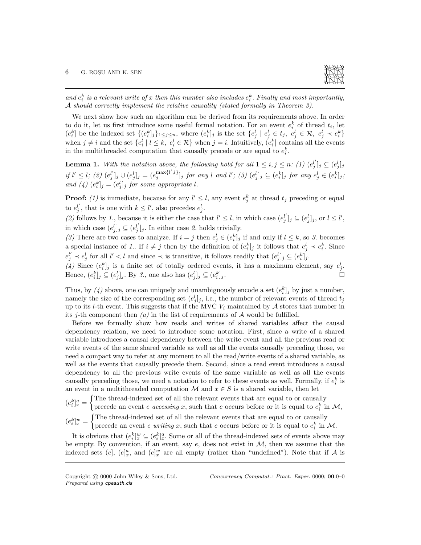

and  $e_i^k$  is a relevant write of x then this number also includes  $e_i^k$ . Finally and most importantly, A should correctly implement the relative causality (stated formally in Theorem 3).

We next show how such an algorithm can be derived from its requirements above. In order to do it, let us first introduce some useful formal notation. For an event  $e_i^k$  of thread  $t_i$ , let  $(e_i^k]$  be the indexed set  $\{(e_i^k)_j\}_{1\leq j\leq n}$ , where  $(e_i^k]_j$  is the set  $\{e_j^l | e_j^l \in t_j, e_j^l \in \mathcal{R}, e_j^l \prec e_i^k\}$ when  $j \neq i$  and the set  $\{e_i^l | l \leq k, e_i^l \in \mathcal{R}\}$  when  $j = i$ . Intuitively,  $(e_i^k]$  contains all the events in the multithreaded computation that causally precede or are equal to  $e_i^k$ .

**Lemma 1.** With the notation above, the following hold for all  $1 \le i, j \le n$ : (1)  $(e_i^j)$  $_{j}^{l'}]_{j} \subseteq (e_{j}^{l}]_{j}$ if  $l' \leq l$ ; (2)  $(e^{l'}_i)$  $[a'_j]_j \cup (e_j^l]_j = (e_j^{\max\{l',l\}}]_j$  for any l and l'; (3)  $(e_j^l]_j \subseteq (e_i^k]_j$  for any  $e_j^l \in (e_i^k]_j$ ; and (4)  $(e_i^k]_j = (e_j^l]_j$  for some appropriate l.

**Proof:** (1) is immediate, because for any  $l' \leq l$ , any event  $e_j^k$  at thread  $t_j$  preceding or equal to  $e_i^{l'}$  $i'$ , that is one with  $k \leq l'$ , also precedes  $e_j^l$ .

(2) follows by 1., because it is either the case that  $l' \leq l$ , in which case  $(e_i^{l'})$  $\begin{aligned} \binom{l'}{j}_j \subseteq (e_j^l]_j, \text{ or } l \leq l', \end{aligned}$ in which case  $(e_j^l]_j \subseteq (e_j^{l'})$  $j'_{j}$ ]<sub>j</sub>. In either case 2. holds trivially.

(3) There are two cases to analyze. If  $i = j$  then  $e_j^l \in (e_i^k]_j$  if and only if  $l \leq k$ , so 3. becomes a special instance of 1. If  $i \neq j$  then by the definition of  $(e_i^k]_j$  it follows that  $e_j^l \prec e_i^k$ . Since  $e_j^{l'} \prec e_j^l$  for all  $l' < l$  and since  $\prec$  is transitive, it follows readily that  $(e_j^l]_j \subseteq (e_i^k]_j$ .

(4) Since  $(e_i^k]_j$  is a finite set of totally ordered events, it has a maximum element, say  $e_j^l$ . Hence,  $(e_i^k]_j \subseteq (e_j^l]_j$ . By 3., one also has  $(e_j^l]_j \subseteq (e_i^k)$  $]_j.$ 

Thus, by  $(4)$  above, one can uniquely and unambiguously encode a set  $(e_i^k]_j$  by just a number, namely the size of the corresponding set  $(e_j^l]_j$ , i.e., the number of relevant events of thread  $t_j$ up to its *l*-th event. This suggests that if the MVC  $V_i$  maintained by  $A$  stores that number in its j-th component then  $(a)$  in the list of requirements of A would be fulfilled.

Before we formally show how reads and writes of shared variables affect the causal dependency relation, we need to introduce some notation. First, since a write of a shared variable introduces a causal dependency between the write event and all the previous read or write events of the same shared variable as well as all the events causally preceding those, we need a compact way to refer at any moment to all the read/write events of a shared variable, as well as the events that causally precede them. Second, since a read event introduces a causal dependency to all the previous write events of the same variable as well as all the events causally preceding those, we need a notation to refer to these events as well. Formally, if  $e_i^k$  is an event in a multithreaded computation M and  $x \in S$  is a shared variable, then let

 $(e_i^k)_x^a = \begin{cases}$  The thread-indexed set of all the relevant events that are equal to or causally  $(e_i^k)_x^a = \begin{cases}$  precede an event exercising x, such that executes before or it is equal to  $e^k$ . precede an event *e* accessing x, such that *e* occurs before or it is equal to  $e_i^k$  in M,

 $(e_i^k)_x^w = \begin{cases}$  The thread-indexed set of all the relevant events that are equal to or causally  $(e_i^k)_x^w = \begin{cases}$  precede an event e writing x, such that e occurs before or it is equal to  $e^k$  in precede an event e writing x, such that e occurs before or it is equal to  $e_i^k$  in M.

It is obvious that  $(e_i^k)_x^w \subseteq (e_i^k)_x^a$ . Some or all of the thread-indexed sets of events above may be empty. By convention, if an event, say  $e$ , does not exist in  $M$ , then we assume that the indexed sets  $(e]$ ,  $(e)_{x}^{a}$ , and  $(e)_{x}^{w}$  are all empty (rather than "undefined"). Note that if A is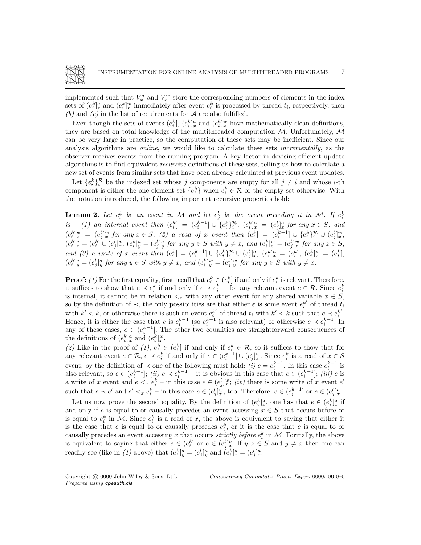

implemented such that  $V_x^a$  and  $V_x^w$  store the corresponding numbers of elements in the index sets of  $(e_i^k]_x^a$  and  $(e_i^k]_x^w$  immediately after event  $e_i^k$  is processed by thread  $t_i$ , respectively, then (b) and (c) in the list of requirements for  $A$  are also fulfilled.

Even though the sets of events  $(e_i^k]$ ,  $(e_i^k]_x^a$  and  $(e_i^k]_x^w$  have mathematically clean definitions, they are based on total knowledge of the multithreaded computation  $M$ . Unfortunately,  $M$ can be very large in practice, so the computation of these sets may be inefficient. Since our analysis algorithms are online, we would like to calculate these sets incrementally, as the observer receives events from the running program. A key factor in devising efficient update algorithms is to find equivalent recursive definitions of these sets, telling us how to calculate a new set of events from similar sets that have been already calculated at previous event updates.

Let  ${e_i^k}_{i}$ <sup>R</sup> be the indexed set whose j components are empty for all  $j \neq i$  and whose *i*-th component is either the one element set  ${e_i^k}$  when  $e_i^k \in \mathcal{R}$  or the empty set otherwise. With the notation introduced, the following important recursive properties hold:

**Lemma 2.** Let  $e_i^k$  be an event in M and let  $e_i^l$  be the event preceding it in M. If  $e_i^k$  $_i$  be an event in for and let  $e_j$  be the event preceding it in fort. If  $e_i$ is  $- (1)$  an internal event then  $(e_i^k] = (e_i^{k-1}] \cup [e_i^k]_i^{\mathcal{R}}$ ,  $(e_i^k]_x^a = (e_j^l)_x^a$  for any  $x \in S$ , and  $(e_i^k)_x^w = (e_j^l)_x^w$  for any  $x \in S$ ; (2) a read of x event then  $(e_i^k] = (e_i^{k-1}] \cup \{e_i^k\}_i^{\mathcal{R}} \cup (e_j^l)_x^w$ ,  $(e_i^k)_x^a = (e_i^k] \cup (e_j^l)_x^a, (e_i^k)_y^a = (e_j^l)_y^a$  for any  $y \in S$  with  $y \neq x$ , and  $(e_i^k)_z^w = (e_j^l)_z^w$  for any  $z \in S$ ; and (3) a write of x event then  $(e_i^k] = (e_i^{k-1}] \cup \{e_i^k\}_{i=1}^{\mathcal{R}} \cup (e_j^l]_x^a$ ,  $(e_i^k]_x^a = (e_i^k]$ ,  $(e_i^k]_x^w = (e_i^k]$ ,  $(e_i^k]_y^a = (e_j^l]_y^a$  for any  $y \in S$  with  $y \neq x$ , and  $(e_i^k]_y^w = (e_j^l]_y^w$  for any  $y \in S$  with  $y \neq x$ .

**Proof:** (1) For the first equality, first recall that  $e_i^k \in (e_i^k]$  if and only if  $e_i^k$  is relevant. Therefore, it suffices to show that  $e \prec e_i^k$  if and only if  $e \prec e_i^{k-1}$  for any relevant event  $e \in \mathcal{R}$ . Since  $e_i^k$ is internal, it cannot be in relation  $\lt_x$  with any other event for any shared variable  $x \in S$ , so by the definition of  $\prec$ , the only possibilities are that either e is some event  $e_i^{k'}$  of thread  $t_i$ i with  $k' < k$ , or otherwise there is such an event  $e_i^{k'}$  $\frac{k'}{i}$  of thread  $t_i$  with  $k' < k$  such that  $e \prec e_i^{k'}$  $\frac{k'}{i}$ . Hence, it is either the case that e is  $e_i^{k-1}$  (so  $e_i^{k-1}$  is also relevant) or otherwise  $e \prec e_i^{k-1}$ . In any of these cases,  $e \in (e_i^{k-1}]$ . The other two equalities are straightforward consequences of the definitions of  $(e_i^k)_x^a$  and  $(e_i^k)_x^w$ .

(2) Like in the proof of (1),  $e_i^k \in (e_i^k]$  if and only if  $e_i^k \in \mathcal{R}$ , so it suffices to show that for any relevant event  $e \in \mathcal{R}$ ,  $e \prec e_i^k$  if and only if  $e \in (e_i^{k-1}] \cup (e_j^l)^w$ . Since  $e_i^k$  is a read of  $x \in S$ event, by the definition of  $\prec$  one of the following must hold:  $(i)$   $e = e_i^{k-1}$ . In this case  $e_i^{k-1}$  is also relevant, so  $e \in (e_i^{k-1}]$ ; (ii)  $e \prec e_i^{k-1}$  – it is obvious in this case that  $e \in (e_i^{k-1}]$ ; (iii) e is a write of x event and  $e \leq x e_i^k$  – in this case  $e \in (e_j^l]_x^w$ ; *(iv)* there is some write of x event  $e'$ such that  $e \prec e'$  and  $e' \prec_x e_i^k$  – in this case  $e \in (e_j^l]_x^w$ , too. Therefore,  $e \in (e_i^{k-1}]$  or  $e \in (e_j^l]_x^a$ .

Let us now prove the second equality. By the definition of  $(e_i^k]_x^a$ , one has that  $e \in (e_i^k)_x^a$  if and only if e is equal to or causally precedes an event accessing  $x \in S$  that occurs before or is equal to  $e_i^k$  in M. Since  $e_i^k$  is a read of x, the above is equivalent to saying that either it is the case that e is equal to or causally precedes  $e_i^k$ , or it is the case that e is equal to or causally precedes an event accessing x that occurs *strictly before*  $e_i^k$  in M. Formally, the above is equivalent to saying that either  $e \in (e_i^k]$  or  $e \in (e_j^l]_x^a$ . If  $y, z \in S$  and  $y \neq x$  then one can readily see (like in (1) above) that  $(e_i^k]_y^a = (e_j^l)_y^a$  and  $(e_i^k]_z^a = (e_j^l)_z^a$ .

Prepared using cpeauth.cls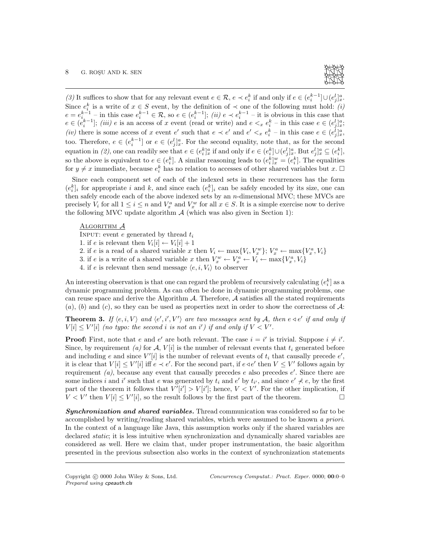

(3) It suffices to show that for any relevant event  $e \in \mathcal{R}$ ,  $e \prec e_i^k$  if and only if  $e \in (e_i^{k-1}] \cup (e_j^l)_x^a$ . Since  $e_{i}^{k}$  is a write of  $x \in S$  event, by the definition of  $\prec$  one of the following must hold: (i)  $e = e_{i}^{k-1}$  – in this case  $e_i^{k-1} \in \mathcal{R}$ , so  $e \in (e_i^{k-1}]$ ; *(ii)*  $e \prec e_i^{k-1}$  – it is obvious in this case that  $e \in (e_i^{k-1}]$ ; *(iii)* e is an access of x event (read or write) and  $e \leq x e_i^k$  – in this case  $e \in (e_j^l]_x^a$ ; (iv) there is some access of x event e' such that  $e \prec e'$  and  $e' \prec_x e_i^k$  – in this case  $e \in (e_j^l]_x^a$ , too. Therefore,  $e \in (e_i^{k-1}]$  or  $e \in (e_j^l)^a_x$ . For the second equality, note that, as for the second equation in (2), one can readily see that  $e \in (e_i^k]_x^a$  if and only if  $e \in (e_i^k] \cup (e_j^l]_x^a$ . But  $e_j^l]_x^a \subseteq (e_i^k]$ , so the above is equivalent to  $e \in (e_i^k]$ . A similar reasoning leads to  $(e_i^k)_x^w = (e_i^k]$ . The equalities for  $y \neq x$  immediate, because  $e_i^k$  has no relation to accesses of other shared variables but  $x$ .  $\Box$ 

Since each component set of each of the indexed sets in these recurrences has the form  $(e_i^k]_i$  for appropriate i and k, and since each  $(e_i^k]_i$  can be safely encoded by its size, one can then safely encode each of the above indexed sets by an  $n$ -dimensional MVC; these MVCs are precisely  $V_i$  for all  $1 \leq i \leq n$  and  $V_x^{\omega}$  and  $V_x^{\omega}$  for all  $x \in S$ . It is a simple exercise now to derive the following MVC update algorithm  $A$  (which was also given in Section 1):

#### ALGORITHM  $A$

- INPUT: event  $e$  generated by thread  $t_i$
- 1. if e is relevant then  $V_i[i] \leftarrow V_i[i] + 1$
- 2. if e is a read of a shared variable x then  $V_i \leftarrow \max\{V_i, V_x^w\}; V_x^a \leftarrow \max\{V_x^a, V_i\}$
- 3. if e is a write of a shared variable x then  $V_x^w \leftarrow V_x^a \leftarrow V_i \leftarrow \max\{V_x^a, V_i\}$
- 4. if e is relevant then send message  $\langle e,i,V_i\rangle$  to observer

An interesting observation is that one can regard the problem of recursively calculating  $(e_i^k]$  as a dynamic programming problem. As can often be done in dynamic programming problems, one can reuse space and derive the Algorithm  $A$ . Therefore,  $A$  satisfies all the stated requirements  $(a)$ ,  $(b)$  and  $(c)$ , so they can be used as properties next in order to show the correctness of A:

**Theorem 3.** If  $\langle e, i, V \rangle$  and  $\langle e', i', V' \rangle$  are two messages sent by A, then  $e \triangleleft e'$  if and only if  $V[i] \leq V'[i]$  (no typo: the second i is not an i') if and only if  $V < V'$ .

**Proof:** First, note that e and e' are both relevant. The case  $i = i'$  is trivial. Suppose  $i \neq i'$ . Since, by requirement (a) for A,  $V[i]$  is the number of relevant events that  $t_i$  generated before and including e and since  $V'[i]$  is the number of relevant events of  $t_i$  that causally precede  $e'$ , it is clear that  $V[i] \leq V'[i]$  iff  $e \prec e'$ . For the second part, if  $e \triangleleft e'$  then  $V \leq V'$  follows again by requirement  $(a)$ , because any event that causally precedes e also precedes  $e'$ . Since there are some indices i and i' such that e was generated by  $t_i$  and  $e'$  by  $t_{i'}$ , and since  $e' \nless e$ , by the first part of the theorem it follows that  $V'[i'] > V[i']$ ; hence,  $V < V'$ . For the other implication, if  $V < V'$  then  $V[i] \leq V'[i]$ , so the result follows by the first part of the theorem.

Synchronization and shared variables. Thread communication was considered so far to be accomplished by writing/reading shared variables, which were assumed to be known a priori. In the context of a language like Java, this assumption works only if the shared variables are declared *static*; it is less intuitive when synchronization and dynamically shared variables are considered as well. Here we claim that, under proper instrumentation, the basic algorithm presented in the previous subsection also works in the context of synchronization statements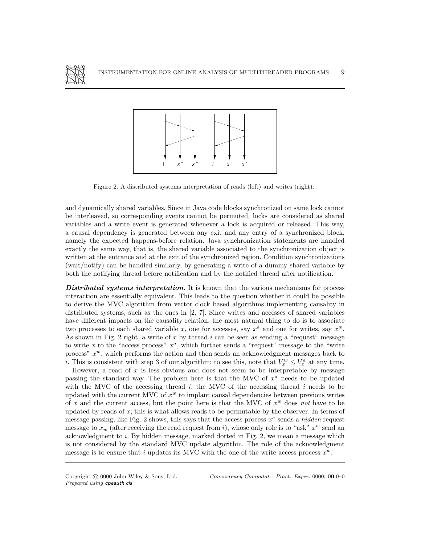



Figure 2. A distributed systems interpretation of reads (left) and writes (right).

and dynamically shared variables. Since in Java code blocks synchronized on same lock cannot be interleaved, so corresponding events cannot be permuted, locks are considered as shared variables and a write event is generated whenever a lock is acquired or released. This way, a causal dependency is generated between any exit and any entry of a synchronized block, namely the expected happens-before relation. Java synchronization statements are handled exactly the same way, that is, the shared variable associated to the synchronization object is written at the entrance and at the exit of the synchronized region. Condition synchronizations (wait/notify) can be handled similarly, by generating a write of a dummy shared variable by both the notifying thread before notification and by the notified thread after notification.

**Distributed systems interpretation.** It is known that the various mechanisms for process interaction are essentially equivalent. This leads to the question whether it could be possible to derive the MVC algorithm from vector clock based algorithms implementing causality in distributed systems, such as the ones in [2, 7]. Since writes and accesses of shared variables have different impacts on the causality relation, the most natural thing to do is to associate two processes to each shared variable x, one for accesses, say  $x^a$  and one for writes, say  $x^w$ . As shown in Fig. 2 right, a write of  $x$  by thread  $i$  can be seen as sending a "request" message to write x to the "access process"  $x^a$ , which further sends a "request" message to the "write process"  $x^w$ , which performs the action and then sends an acknowledgment messages back to *i*. This is consistent with step 3 of our algorithm; to see this, note that  $V_x^w \leq V_x^a$  at any time.

However, a read of  $x$  is less obvious and does not seem to be interpretable by message passing the standard way. The problem here is that the MVC of  $x^a$  needs to be updated with the MVC of the accessing thread  $i$ , the MVC of the accessing thread  $i$  needs to be updated with the current MVC of  $x^w$  to implant causal dependencies between previous writes of x and the current access, but the point here is that the MVC of  $x^w$  does not have to be updated by reads of  $x$ ; this is what allows reads to be permutable by the observer. In terms of message passing, like Fig. 2 shows, this says that the access process  $x^a$  sends a *hidden* request message to  $x_w$  (after receiving the read request from i), whose only role is to "ask"  $x^w$  send an acknowledgment to i. By hidden message, marked dotted in Fig. 2, we mean a message which is not considered by the standard MVC update algorithm. The role of the acknowledgment message is to ensure that i updates its MVC with the one of the write access process  $x^w$ .

Prepared using cpeauth.cls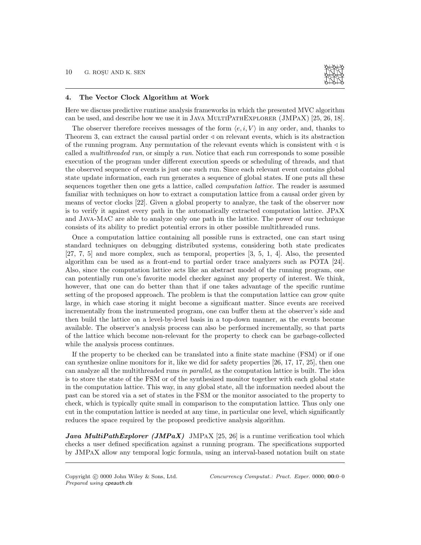

#### 4. The Vector Clock Algorithm at Work

Here we discuss predictive runtime analysis frameworks in which the presented MVC algorithm can be used, and describe how we use it in Java MultiPathExplorer (JMPaX) [25, 26, 18].

The observer therefore receives messages of the form  $\langle e, i, V \rangle$  in any order, and, thanks to Theorem 3, can extract the causal partial order  $\triangleleft$  on relevant events, which is its abstraction of the running program. Any permutation of the relevant events which is consistent with  $\triangleleft$  is called a *multithreaded run*, or simply a *run*. Notice that each run corresponds to some possible execution of the program under different execution speeds or scheduling of threads, and that the observed sequence of events is just one such run. Since each relevant event contains global state update information, each run generates a sequence of global states. If one puts all these sequences together then one gets a lattice, called computation lattice. The reader is assumed familiar with techniques on how to extract a computation lattice from a causal order given by means of vector clocks [22]. Given a global property to analyze, the task of the observer now is to verify it against every path in the automatically extracted computation lattice. JPaX and Java-MaC are able to analyze only one path in the lattice. The power of our technique consists of its ability to predict potential errors in other possible multithreaded runs.

Once a computation lattice containing all possible runs is extracted, one can start using standard techniques on debugging distributed systems, considering both state predicates [27, 7, 5] and more complex, such as temporal, properties [3, 5, 1, 4]. Also, the presented algorithm can be used as a front-end to partial order trace analyzers such as POTA [24]. Also, since the computation lattice acts like an abstract model of the running program, one can potentially run one's favorite model checker against any property of interest. We think, however, that one can do better than that if one takes advantage of the specific runtime setting of the proposed approach. The problem is that the computation lattice can grow quite large, in which case storing it might become a significant matter. Since events are received incrementally from the instrumented program, one can buffer them at the observer's side and then build the lattice on a level-by-level basis in a top-down manner, as the events become available. The observer's analysis process can also be performed incrementally, so that parts of the lattice which become non-relevant for the property to check can be garbage-collected while the analysis process continues.

If the property to be checked can be translated into a finite state machine (FSM) or if one can synthesize online monitors for it, like we did for safety properties [26, 17, 17, 25], then one can analyze all the multithreaded runs in parallel, as the computation lattice is built. The idea is to store the state of the FSM or of the synthesized monitor together with each global state in the computation lattice. This way, in any global state, all the information needed about the past can be stored via a set of states in the FSM or the monitor associated to the property to check, which is typically quite small in comparison to the computation lattice. Thus only one cut in the computation lattice is needed at any time, in particular one level, which significantly reduces the space required by the proposed predictive analysis algorithm.

**Java MultiPathExplorer (JMPaX)** JMPAX [25, 26] is a runtime verification tool which checks a user defined specification against a running program. The specifications supported by JMPaX allow any temporal logic formula, using an interval-based notation built on state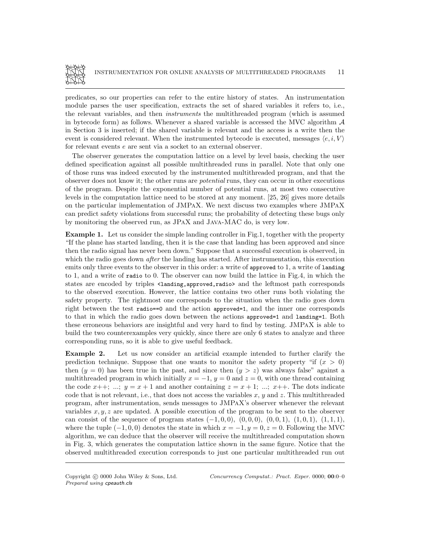

predicates, so our properties can refer to the entire history of states. An instrumentation module parses the user specification, extracts the set of shared variables it refers to, i.e., the relevant variables, and then instruments the multithreaded program (which is assumed in bytecode form) as follows. Whenever a shared variable is accessed the MVC algorithm  $\mathcal A$ in Section 3 is inserted; if the shared variable is relevant and the access is a write then the event is considered relevant. When the instrumented bytecode is executed, messages  $\langle e, i, V \rangle$ for relevant events e are sent via a socket to an external observer.

The observer generates the computation lattice on a level by level basis, checking the user defined specification against all possible multithreaded runs in parallel. Note that only one of those runs was indeed executed by the instrumented multithreaded program, and that the observer does not know it; the other runs are potential runs, they can occur in other executions of the program. Despite the exponential number of potential runs, at most two consecutive levels in the computation lattice need to be stored at any moment. [25, 26] gives more details on the particular implementation of JMPaX. We next discuss two examples where JMPaX can predict safety violations from successful runs; the probability of detecting these bugs only by monitoring the observed run, as JPaX and Java-MAC do, is very low.

Example 1. Let us consider the simple landing controller in Fig.1, together with the property "If the plane has started landing, then it is the case that landing has been approved and since then the radio signal has never been down." Suppose that a successful execution is observed, in which the radio goes down *after* the landing has started. After instrumentation, this execution emits only three events to the observer in this order: a write of approved to 1, a write of landing to 1, and a write of radio to 0. The observer can now build the lattice in Fig.4, in which the states are encoded by triples <landing,approved,radio> and the leftmost path corresponds to the observed execution. However, the lattice contains two other runs both violating the safety property. The rightmost one corresponds to the situation when the radio goes down right between the test radio==0 and the action approved=1, and the inner one corresponds to that in which the radio goes down between the actions approved=1 and landing=1. Both these erroneous behaviors are insightful and very hard to find by testing. JMPaX is able to build the two counterexamples very quickly, since there are only 6 states to analyze and three corresponding runs, so it is able to give useful feedback.

Example 2. Let us now consider an artificial example intended to further clarify the prediction technique. Suppose that one wants to monitor the safety property "if  $(x > 0)$ " then  $(y = 0)$  has been true in the past, and since then  $(y > z)$  was always false" against a multithreaded program in which initially  $x = -1$ ,  $y = 0$  and  $z = 0$ , with one thread containing the code  $x++$ ; ...;  $y=x+1$  and another containing  $z=x+1$ ; ...;  $x++$ . The dots indicate code that is not relevant, i.e., that does not access the variables  $x, y$  and  $z$ . This multithreaded program, after instrumentation, sends messages to JMPaX's observer whenever the relevant variables  $x, y, z$  are updated. A possible execution of the program to be sent to the observer can consist of the sequence of program states  $(-1, 0, 0)$ ,  $(0, 0, 0)$ ,  $(0, 0, 1)$ ,  $(1, 0, 1)$ ,  $(1, 1, 1)$ , where the tuple  $(-1, 0, 0)$  denotes the state in which  $x = -1, y = 0, z = 0$ . Following the MVC algorithm, we can deduce that the observer will receive the multithreaded computation shown in Fig. 3, which generates the computation lattice shown in the same figure. Notice that the observed multithreaded execution corresponds to just one particular multithreaded run out

Prepared using cpeauth.cls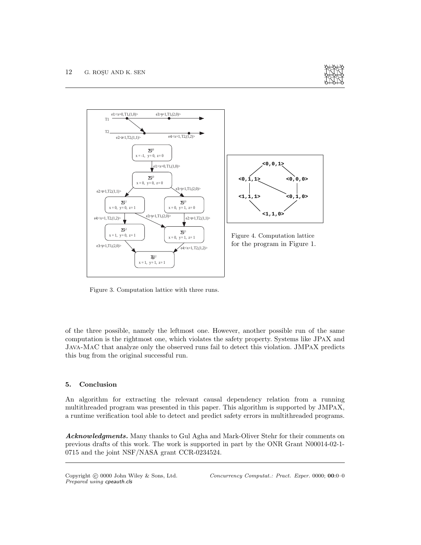



Figure 3. Computation lattice with three runs.

of the three possible, namely the leftmost one. However, another possible run of the same computation is the rightmost one, which violates the safety property. Systems like JPaX and Java-MaC that analyze only the observed runs fail to detect this violation. JMPaX predicts this bug from the original successful run.

## 5. Conclusion

An algorithm for extracting the relevant causal dependency relation from a running multithreaded program was presented in this paper. This algorithm is supported by JMPaX, a runtime verification tool able to detect and predict safety errors in multithreaded programs.

Acknowledgments. Many thanks to Gul Agha and Mark-Oliver Stehr for their comments on previous drafts of this work. The work is supported in part by the ONR Grant N00014-02-1- 0715 and the joint NSF/NASA grant CCR-0234524.

Prepared using cpeauth.cls